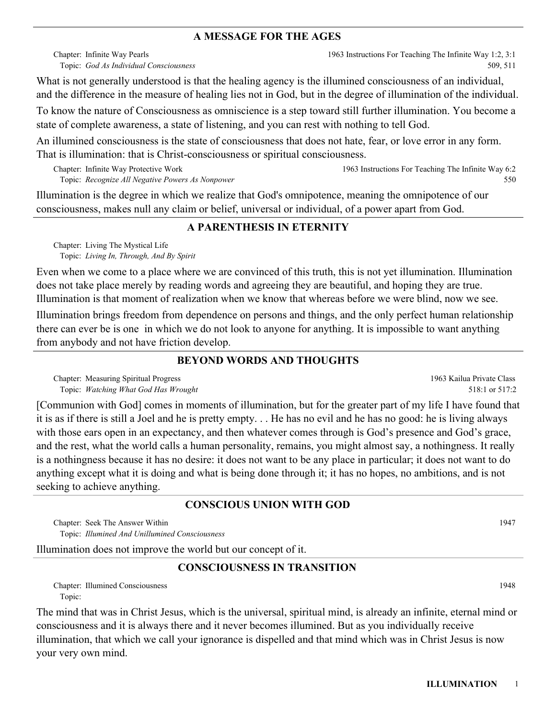## **A MESSAGE FOR THE AGES**

Chapter: Infinite Way Pearls *God As Individual Consciousness* Topic: 1963 Instructions For Teaching The Infinite Way 1:2, 3:1 509, 511

What is not generally understood is that the healing agency is the illumined consciousness of an individual, and the difference in the measure of healing lies not in God, but in the degree of illumination of the individual.

To know the nature of Consciousness as omniscience is a step toward still further illumination. You become a state of complete awareness, a state of listening, and you can rest with nothing to tell God.

An illumined consciousness is the state of consciousness that does not hate, fear, or love error in any form. That is illumination: that is Christ-consciousness or spiritual consciousness.

Chapter: Infinite Way Protective Work *Recognize All Negative Powers As Nonpower* Topic: 1963 Instructions For Teaching The Infinite Way 6:2 550

Illumination is the degree in which we realize that God's omnipotence, meaning the omnipotence of our consciousness, makes null any claim or belief, universal or individual, of a power apart from God.

# **A PARENTHESIS IN ETERNITY**

Chapter: Living The Mystical Life *Living In, Through, And By Spirit* Topic:

Even when we come to a place where we are convinced of this truth, this is not yet illumination. Illumination does not take place merely by reading words and agreeing they are beautiful, and hoping they are true. Illumination is that moment of realization when we know that whereas before we were blind, now we see.

Illumination brings freedom from dependence on persons and things, and the only perfect human relationship there can ever be is one in which we do not look to anyone for anything. It is impossible to want anything from anybody and not have friction develop.

# **BEYOND WORDS AND THOUGHTS**

Chapter: Measuring Spiritual Progress *Watching What God Has Wrought* Topic:

[Communion with God] comes in moments of illumination, but for the greater part of my life I have found that it is as if there is still a Joel and he is pretty empty. . . He has no evil and he has no good: he is living always with those ears open in an expectancy, and then whatever comes through is God's presence and God's grace, and the rest, what the world calls a human personality, remains, you might almost say, a nothingness. It really is a nothingness because it has no desire: it does not want to be any place in particular; it does not want to do anything except what it is doing and what is being done through it; it has no hopes, no ambitions, and is not seeking to achieve anything.

## **CONSCIOUS UNION WITH GOD**

Chapter: Seek The Answer Within 1947 *Illumined And Unillumined Consciousness* Topic:

Illumination does not improve the world but our concept of it.

# **CONSCIOUSNESS IN TRANSITION**

Chapter: Illumined Consciousness 1948 Topic:

The mind that was in Christ Jesus, which is the universal, spiritual mind, is already an infinite, eternal mind or consciousness and it is always there and it never becomes illumined. But as you individually receive illumination, that which we call your ignorance is dispelled and that mind which was in Christ Jesus is now your very own mind.

1963 Kailua Private Class 518:1 or 517:2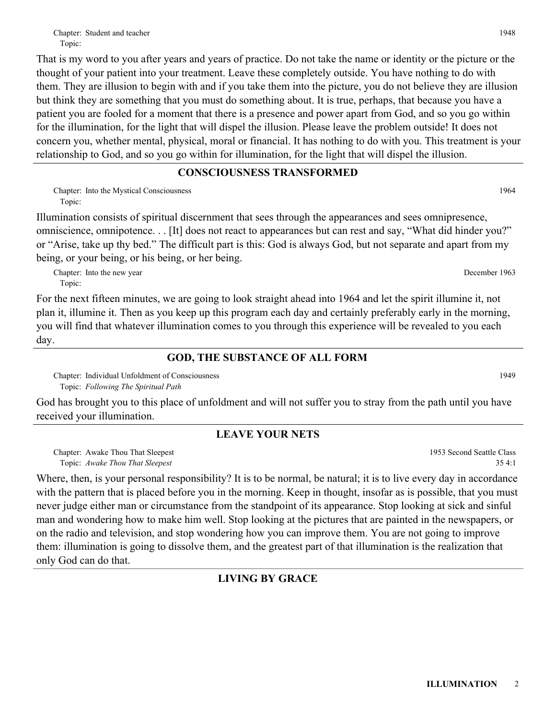Topic: That is my word to you after years and years of practice. Do not take the name or identity or the picture or the thought of your patient into your treatment. Leave these completely outside. You have nothing to do with them. They are illusion to begin with and if you take them into the picture, you do not believe they are illusion but think they are something that you must do something about. It is true, perhaps, that because you have a patient you are fooled for a moment that there is a presence and power apart from God, and so you go within for the illumination, for the light that will dispel the illusion. Please leave the problem outside! It does not concern you, whether mental, physical, moral or financial. It has nothing to do with you. This treatment is your relationship to God, and so you go within for illumination, for the light that will dispel the illusion.

## **CONSCIOUSNESS TRANSFORMED**

Chapter: Into the Mystical Consciousness 1964 Topic:

Illumination consists of spiritual discernment that sees through the appearances and sees omnipresence, omniscience, omnipotence. . . [It] does not react to appearances but can rest and say, "What did hinder you?" or "Arise, take up thy bed." The difficult part is this: God is always God, but not separate and apart from my being, or your being, or his being, or her being.

Chapter: Into the new year December 1963 Topic:

For the next fifteen minutes, we are going to look straight ahead into 1964 and let the spirit illumine it, not plan it, illumine it. Then as you keep up this program each day and certainly preferably early in the morning, you will find that whatever illumination comes to you through this experience will be revealed to you each day.

# **GOD, THE SUBSTANCE OF ALL FORM**

Chapter: Individual Unfoldment of Consciousness and the constant of Consciousness and the constant of Consciousness and the consciousness and the constant of Consciousness and the constant of Consciousness and the constant *Following The Spiritual Path* Topic:

God has brought you to this place of unfoldment and will not suffer you to stray from the path until you have received your illumination.

# **LEAVE YOUR NETS**

Chapter: Awake Thou That Sleepest *Awake Thou That Sleepest* Topic:

Where, then, is your personal responsibility? It is to be normal, be natural; it is to live every day in accordance with the pattern that is placed before you in the morning. Keep in thought, insofar as is possible, that you must never judge either man or circumstance from the standpoint of its appearance. Stop looking at sick and sinful man and wondering how to make him well. Stop looking at the pictures that are painted in the newspapers, or on the radio and television, and stop wondering how you can improve them. You are not going to improve them: illumination is going to dissolve them, and the greatest part of that illumination is the realization that only God can do that.

# **LIVING BY GRACE**

1953 Second Seattle Class

35 4:1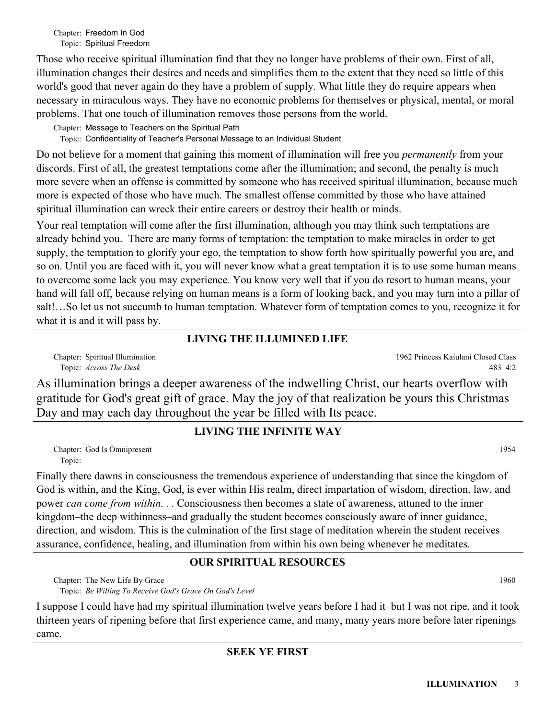Chapter: Freedom In God Topic: Spiritual Freedom

Those who receive spiritual illumination find that they no longer have problems of their own. First of all, illumination changes their desires and needs and simplifies them to the extent that they need so little of this world's good that never again do they have a problem of supply. What little they do require appears when necessary in miraculous ways. They have no economic problems for themselves or physical, mental, or moral problems. That one touch of illumination removes those persons from the world.

Chapter: Message to Teachers on the Spiritual Path

Topic: Confidentiality of Teacher's Personal Message to an Individual Student

Do not believe for a moment that gaining this moment of illumination will free you *permanently* from your discords. First of all, the greatest temptations come after the illumination; and second, the penalty is much more severe when an offense is committed by someone who has received spiritual illumination, because much more is expected of those who have much. The smallest offense committed by those who have attained spiritual illumination can wreck their entire careers or destroy their health or minds.

Your real temptation will come after the first illumination, although you may think such temptations are already behind you. There are many forms of temptation: the temptation to make miracles in order to get supply, the temptation to glorify your ego, the temptation to show forth how spiritually powerful you are, and so on. Until you are faced with it, you will never know what a great temptation it is to use some human means to overcome some lack you may experience. You know very well that if you do resort to human means, your hand will fall off, because relying on human means is a form of looking back, and you may turn into a pillar of salt!…So let us not succumb to human temptation. Whatever form of temptation comes to you, recognize it for what it is and it will pass by.

# **LIVING THE ILLUMINED LIFE**

Chapter: Spiritual Illumination *Across The Desk* Topic:

As illumination brings a deeper awareness of the indwelling Christ, our hearts overflow with gratitude for God's great gift of grace. May the joy of that realization be yours this Christmas Day and may each day throughout the year be filled with Its peace.

# **LIVING THE INFINITE WAY**

Chapter: God Is Omnipresent 1954 Topic:

Finally there dawns in consciousness the tremendous experience of understanding that since the kingdom of God is within, and the King, God, is ever within His realm, direct impartation of wisdom, direction, law, and power *can come from within. . .* Consciousness then becomes a state of awareness, attuned to the inner kingdom–the deep withinness–and gradually the student becomes consciously aware of inner guidance, direction, and wisdom. This is the culmination of the first stage of meditation wherein the student receives assurance, confidence, healing, and illumination from within his own being whenever he meditates.

# **OUR SPIRITUAL RESOURCES**

Chapter: The New Life By Grace 1960 *Be Willing To Receive God's Grace On God's Level* Topic:

I suppose I could have had my spiritual illumination twelve years before I had it–but I was not ripe, and it took thirteen years of ripening before that first experience came, and many, many years more before later ripenings came.

483 4:2

1962 Princess Kaiulani Closed Class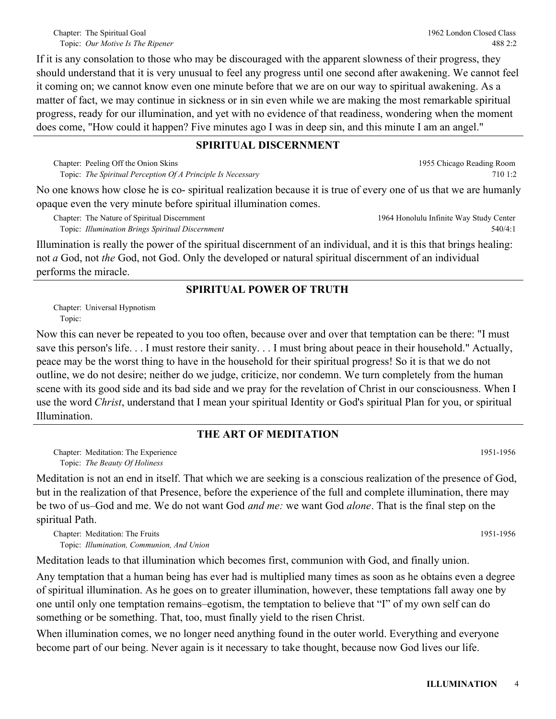1955 Chicago Reading Room

710 1:2

If it is any consolation to those who may be discouraged with the apparent slowness of their progress, they should understand that it is very unusual to feel any progress until one second after awakening. We cannot feel it coming on; we cannot know even one minute before that we are on our way to spiritual awakening. As a matter of fact, we may continue in sickness or in sin even while we are making the most remarkable spiritual progress, ready for our illumination, and yet with no evidence of that readiness, wondering when the moment does come, "How could it happen? Five minutes ago I was in deep sin, and this minute I am an angel."

## **SPIRITUAL DISCERNMENT**

Chapter: Peeling Off the Onion Skins *The Spiritual Perception Of A Principle Is Necessary* Topic:

No one knows how close he is co- spiritual realization because it is true of every one of us that we are humanly opaque even the very minute before spiritual illumination comes.

Chapter: The Nature of Spiritual Discernment *Illumination Brings Spiritual Discernment* Topic: 1964 Honolulu Infinite Way Study Center 540/4:1

Illumination is really the power of the spiritual discernment of an individual, and it is this that brings healing: not *a* God, not *the* God, not God. Only the developed or natural spiritual discernment of an individual performs the miracle.

## **SPIRITUAL POWER OF TRUTH**

Chapter: Universal Hypnotism Topic:

Now this can never be repeated to you too often, because over and over that temptation can be there: "I must save this person's life. . . I must restore their sanity. . . I must bring about peace in their household." Actually, peace may be the worst thing to have in the household for their spiritual progress! So it is that we do not outline, we do not desire; neither do we judge, criticize, nor condemn. We turn completely from the human scene with its good side and its bad side and we pray for the revelation of Christ in our consciousness. When I use the word *Christ*, understand that I mean your spiritual Identity or God's spiritual Plan for you, or spiritual Illumination.

## **THE ART OF MEDITATION**

Chapter: Meditation: The Experience (1951-1956) (1951-1956) *The Beauty Of Holiness* Topic:

Meditation is not an end in itself. That which we are seeking is a conscious realization of the presence of God, but in the realization of that Presence, before the experience of the full and complete illumination, there may be two of us–God and me. We do not want God *and me:* we want God *alone*. That is the final step on the spiritual Path.

Chapter: Meditation: The Fruits (1951-1956) (1951-1956) (1951-1956) (1951-1956) (1951-1956) *Illumination, Communion, And Union* Topic:

Meditation leads to that illumination which becomes first, communion with God, and finally union.

Any temptation that a human being has ever had is multiplied many times as soon as he obtains even a degree of spiritual illumination. As he goes on to greater illumination, however, these temptations fall away one by one until only one temptation remains–egotism, the temptation to believe that "I" of my own self can do something or be something. That, too, must finally yield to the risen Christ.

When illumination comes, we no longer need anything found in the outer world. Everything and everyone become part of our being. Never again is it necessary to take thought, because now God lives our life.